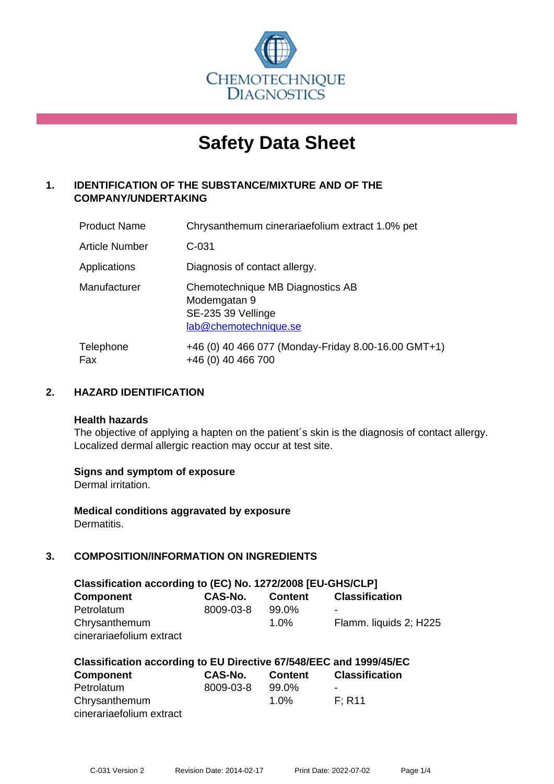

# **Safety Data Sheet**

# **1. IDENTIFICATION OF THE SUBSTANCE/MIXTURE AND OF THE COMPANY/UNDERTAKING**

| <b>Product Name</b>   | Chrysanthemum cinerariaefolium extract 1.0% pet                                                 |
|-----------------------|-------------------------------------------------------------------------------------------------|
| <b>Article Number</b> | $C-031$                                                                                         |
| Applications          | Diagnosis of contact allergy.                                                                   |
| Manufacturer          | Chemotechnique MB Diagnostics AB<br>Modemgatan 9<br>SE-235 39 Vellinge<br>lab@chemotechnique.se |
| Telephone<br>Fax      | +46 (0) 40 466 077 (Monday-Friday 8.00-16.00 GMT+1)<br>+46 (0) 40 466 700                       |

# **2. HAZARD IDENTIFICATION**

#### **Health hazards**

The objective of applying a hapten on the patient's skin is the diagnosis of contact allergy. Localized dermal allergic reaction may occur at test site.

## **Signs and symptom of exposure**

Dermal irritation.

**Medical conditions aggravated by exposure** Dermatitis.

# **3. COMPOSITION/INFORMATION ON INGREDIENTS**

| Classification according to (EC) No. 1272/2008 [EU-GHS/CLP] |                |                |                        |  |  |
|-------------------------------------------------------------|----------------|----------------|------------------------|--|--|
| <b>Component</b>                                            | <b>CAS-No.</b> | <b>Content</b> | <b>Classification</b>  |  |  |
| Petrolatum                                                  | 8009-03-8      | 99.0%          | -                      |  |  |
| Chrysanthemum                                               |                | $1.0\%$        | Flamm. liquids 2; H225 |  |  |
| cinerariaefolium extract                                    |                |                |                        |  |  |

| Classification according to EU Directive 67/548/EEC and 1999/45/EC |           |                |                       |  |
|--------------------------------------------------------------------|-----------|----------------|-----------------------|--|
| <b>Component</b>                                                   | CAS-No.   | <b>Content</b> | <b>Classification</b> |  |
| Petrolatum                                                         | 8009-03-8 | 99.0%          |                       |  |
| Chrysanthemum                                                      |           | $1.0\%$        | F: R11                |  |
| cinerariaefolium extract                                           |           |                |                       |  |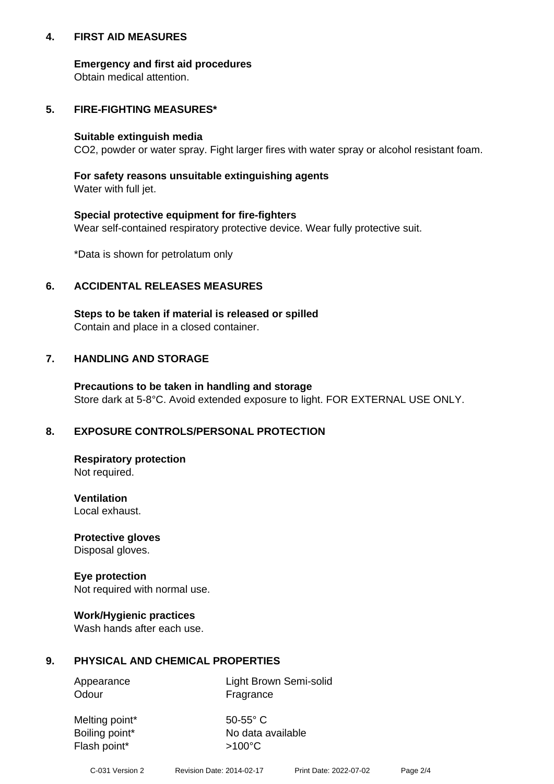## **4. FIRST AID MEASURES**

## **Emergency and first aid procedures**

Obtain medical attention.

# **5. FIRE-FIGHTING MEASURES\***

#### **Suitable extinguish media**

CO2, powder or water spray. Fight larger fires with water spray or alcohol resistant foam.

# **For safety reasons unsuitable extinguishing agents**

Water with full jet.

## **Special protective equipment for fire-fighters**

Wear self-contained respiratory protective device. Wear fully protective suit.

\*Data is shown for petrolatum only

## **6. ACCIDENTAL RELEASES MEASURES**

**Steps to be taken if material is released or spilled** Contain and place in a closed container.

# **7. HANDLING AND STORAGE**

**Precautions to be taken in handling and storage** Store dark at 5-8°C. Avoid extended exposure to light. FOR EXTERNAL USE ONLY.

# **8. EXPOSURE CONTROLS/PERSONAL PROTECTION**

**Respiratory protection** Not required.

**Ventilation** Local exhaust.

**Protective gloves** Disposal gloves.

#### **Eye protection** Not required with normal use.

## **Work/Hygienic practices**

Wash hands after each use.

## **9. PHYSICAL AND CHEMICAL PROPERTIES**

Odour Fragrance

Appearance Light Brown Semi-solid

Melting point\* 50-55° C Flash point\*  $>100^{\circ}$ C

Boiling point\* No data available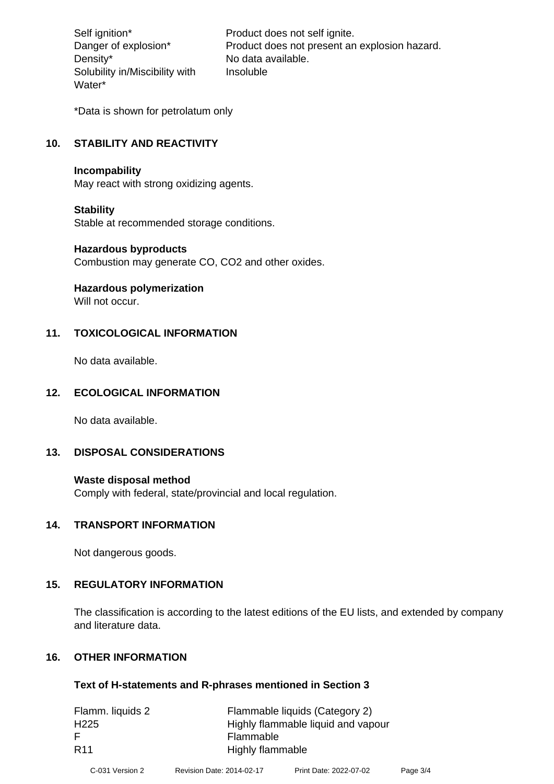Density\* No data available. Solubility in/Miscibility with Water\*

Self ignition\* Product does not self ignite. Danger of explosion\* Product does not present an explosion hazard. Insoluble

\*Data is shown for petrolatum only

# **10. STABILITY AND REACTIVITY**

#### **Incompability**

May react with strong oxidizing agents.

#### **Stability**

Stable at recommended storage conditions.

#### **Hazardous byproducts**

Combustion may generate CO, CO2 and other oxides.

**Hazardous polymerization**

Will not occur.

## **11. TOXICOLOGICAL INFORMATION**

No data available.

## **12. ECOLOGICAL INFORMATION**

No data available.

## **13. DISPOSAL CONSIDERATIONS**

#### **Waste disposal method**

Comply with federal, state/provincial and local regulation.

#### **14. TRANSPORT INFORMATION**

Not dangerous goods.

## **15. REGULATORY INFORMATION**

The classification is according to the latest editions of the EU lists, and extended by company and literature data.

#### **16. OTHER INFORMATION**

#### **Text of H-statements and R-phrases mentioned in Section 3**

| Flamm. liquids 2 | Flammable liquids (Category 2)     |
|------------------|------------------------------------|
| H <sub>225</sub> | Highly flammable liquid and vapour |
| -F               | Flammable                          |
| <b>R11</b>       | Highly flammable                   |
|                  |                                    |